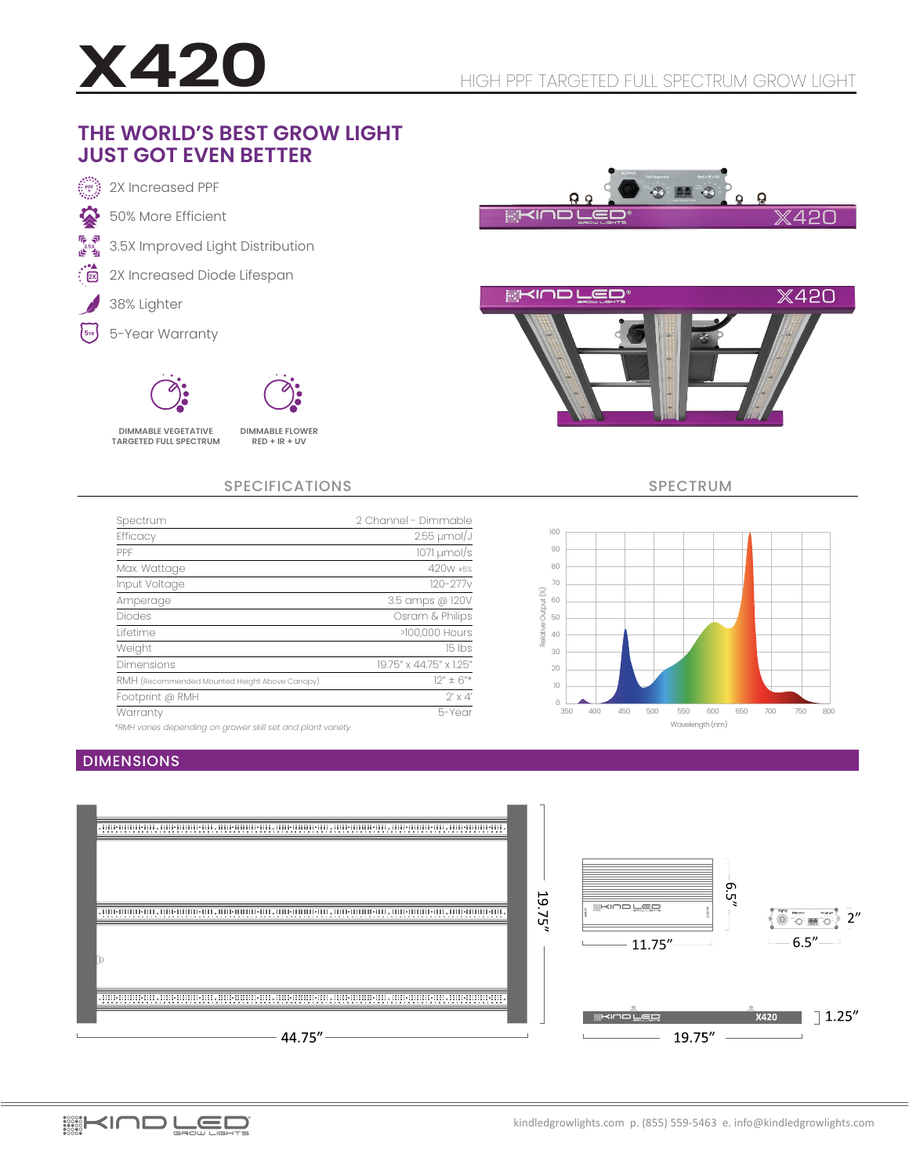

### **THE WORLD'S BEST GROW LIGHT JUST GOT EVEN BETTER**





SPECIFICATIONS SPECTRUM

Wavelength (nm)

600 650 700 750 800

350 400 450 500 550

Relative Output (%)

Relative Output (%)



*\*RMH varies depending on grower skill set and plant variety.*

#### DIMENSIONS



EL KIND LED